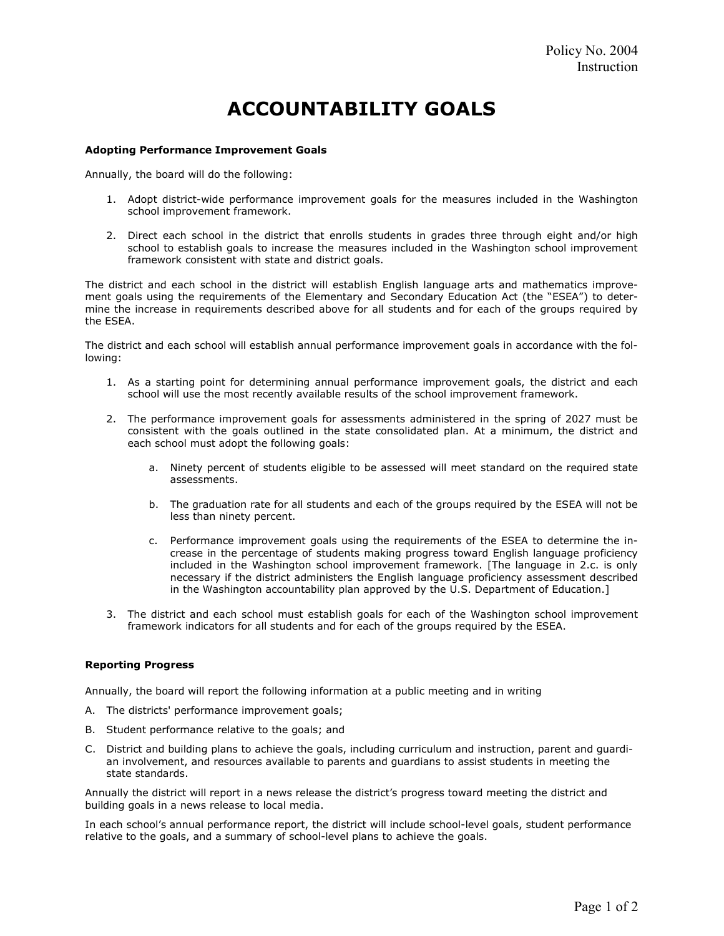## ACCOUNTABILITY GOALS

## Adopting Performance Improvement Goals

Annually, the board will do the following:

- 1. Adopt district-wide performance improvement goals for the measures included in the Washington school improvement framework.
- 2. Direct each school in the district that enrolls students in grades three through eight and/or high school to establish goals to increase the measures included in the Washington school improvement framework consistent with state and district goals.

The district and each school in the district will establish English language arts and mathematics improvement goals using the requirements of the Elementary and Secondary Education Act (the "ESEA") to determine the increase in requirements described above for all students and for each of the groups required by the ESEA.

The district and each school will establish annual performance improvement goals in accordance with the following:

- 1. As a starting point for determining annual performance improvement goals, the district and each school will use the most recently available results of the school improvement framework.
- 2. The performance improvement goals for assessments administered in the spring of 2027 must be consistent with the goals outlined in the state consolidated plan. At a minimum, the district and each school must adopt the following goals:
	- a. Ninety percent of students eligible to be assessed will meet standard on the required state assessments.
	- b. The graduation rate for all students and each of the groups required by the ESEA will not be less than ninety percent.
	- c. Performance improvement goals using the requirements of the ESEA to determine the increase in the percentage of students making progress toward English language proficiency included in the Washington school improvement framework. [The language in 2.c. is only necessary if the district administers the English language proficiency assessment described in the Washington accountability plan approved by the U.S. Department of Education.]
- 3. The district and each school must establish goals for each of the Washington school improvement framework indicators for all students and for each of the groups required by the ESEA.

## Reporting Progress

Annually, the board will report the following information at a public meeting and in writing

- A. The districts' performance improvement goals;
- B. Student performance relative to the goals; and
- C. District and building plans to achieve the goals, including curriculum and instruction, parent and guardian involvement, and resources available to parents and guardians to assist students in meeting the state standards.

Annually the district will report in a news release the district's progress toward meeting the district and building goals in a news release to local media.

In each school's annual performance report, the district will include school-level goals, student performance relative to the goals, and a summary of school-level plans to achieve the goals.